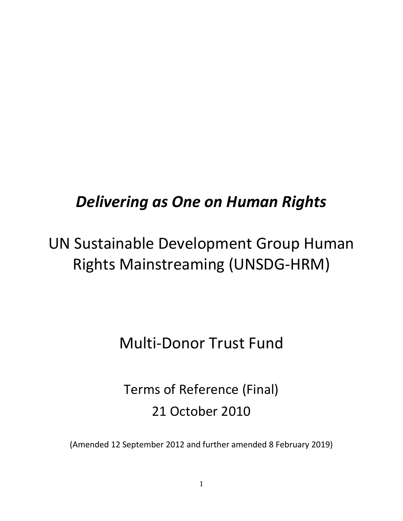# *Delivering as One on Human Rights*

# UN Sustainable Development Group Human Rights Mainstreaming (UNSDG-HRM)

# Multi-Donor Trust Fund

# Terms of Reference (Final) 21 October 2010

(Amended 12 September 2012 and further amended 8 February 2019)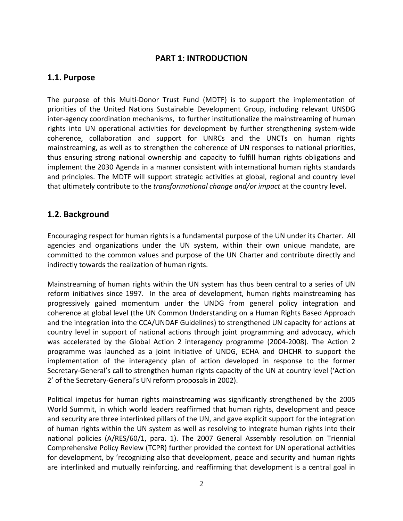## **PART 1: INTRODUCTION**

## **1.1. Purpose**

The purpose of this Multi-Donor Trust Fund (MDTF) is to support the implementation of priorities of the United Nations Sustainable Development Group, including relevant UNSDG inter-agency coordination mechanisms, to further institutionalize the mainstreaming of human rights into UN operational activities for development by further strengthening system-wide coherence, collaboration and support for UNRCs and the UNCTs on human rights mainstreaming, as well as to strengthen the coherence of UN responses to national priorities, thus ensuring strong national ownership and capacity to fulfill human rights obligations and implement the 2030 Agenda in a manner consistent with international human rights standards and principles. The MDTF will support strategic activities at global, regional and country level that ultimately contribute to the *transformational change and/or impact* at the country level.

## **1.2. Background**

Encouraging respect for human rights is a fundamental purpose of the UN under its Charter. All agencies and organizations under the UN system, within their own unique mandate, are committed to the common values and purpose of the UN Charter and contribute directly and indirectly towards the realization of human rights.

Mainstreaming of human rights within the UN system has thus been central to a series of UN reform initiatives since 1997. In the area of development, human rights mainstreaming has progressively gained momentum under the UNDG from general policy integration and coherence at global level (the UN Common Understanding on a Human Rights Based Approach and the integration into the CCA/UNDAF Guidelines) to strengthened UN capacity for actions at country level in support of national actions through joint programming and advocacy, which was accelerated by the Global Action 2 interagency programme (2004-2008). The Action 2 programme was launched as a joint initiative of UNDG, ECHA and OHCHR to support the implementation of the interagency plan of action developed in response to the former Secretary-General's call to strengthen human rights capacity of the UN at country level ('Action 2' of the Secretary-General's UN reform proposals in 2002).

Political impetus for human rights mainstreaming was significantly strengthened by the 2005 World Summit, in which world leaders reaffirmed that human rights, development and peace and security are three interlinked pillars of the UN, and gave explicit support for the integration of human rights within the UN system as well as resolving to integrate human rights into their national policies (A/RES/60/1, para. 1). The 2007 General Assembly resolution on Triennial Comprehensive Policy Review (TCPR) further provided the context for UN operational activities for development, by 'recognizing also that development, peace and security and human rights are interlinked and mutually reinforcing, and reaffirming that development is a central goal in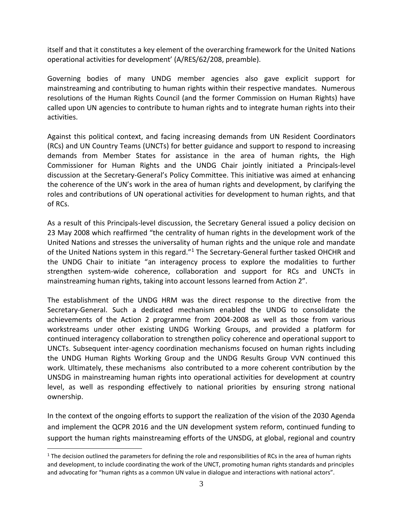itself and that it constitutes a key element of the overarching framework for the United Nations operational activities for development' (A/RES/62/208, preamble).

Governing bodies of many UNDG member agencies also gave explicit support for mainstreaming and contributing to human rights within their respective mandates. Numerous resolutions of the Human Rights Council (and the former Commission on Human Rights) have called upon UN agencies to contribute to human rights and to integrate human rights into their activities.

Against this political context, and facing increasing demands from UN Resident Coordinators (RCs) and UN Country Teams (UNCTs) for better guidance and support to respond to increasing demands from Member States for assistance in the area of human rights, the High Commissioner for Human Rights and the UNDG Chair jointly initiated a Principals-level discussion at the Secretary-General's Policy Committee. This initiative was aimed at enhancing the coherence of the UN's work in the area of human rights and development, by clarifying the roles and contributions of UN operational activities for development to human rights, and that of RCs.

As a result of this Principals-level discussion, the Secretary General issued a policy decision on 23 May 2008 which reaffirmed "the centrality of human rights in the development work of the United Nations and stresses the universality of human rights and the unique role and mandate of the United Nations system in this regard."<sup>1</sup> The Secretary-General further tasked OHCHR and the UNDG Chair to initiate "an interagency process to explore the modalities to further strengthen system-wide coherence, collaboration and support for RCs and UNCTs in mainstreaming human rights, taking into account lessons learned from Action 2".

The establishment of the UNDG HRM was the direct response to the directive from the Secretary-General. Such a dedicated mechanism enabled the UNDG to consolidate the achievements of the Action 2 programme from 2004-2008 as well as those from various workstreams under other existing UNDG Working Groups, and provided a platform for continued interagency collaboration to strengthen policy coherence and operational support to UNCTs. Subsequent inter-agency coordination mechanisms focused on human rights including the UNDG Human Rights Working Group and the UNDG Results Group VVN continued this work. Ultimately, these mechanisms also contributed to a more coherent contribution by the UNSDG in mainstreaming human rights into operational activities for development at country level, as well as responding effectively to national priorities by ensuring strong national ownership.

In the context of the ongoing efforts to support the realization of the vision of the 2030 Agenda and implement the QCPR 2016 and the UN development system reform, continued funding to support the human rights mainstreaming efforts of the UNSDG, at global, regional and country

 $\overline{a}$ 

 $1$  The decision outlined the parameters for defining the role and responsibilities of RCs in the area of human rights and development, to include coordinating the work of the UNCT, promoting human rights standards and principles and advocating for "human rights as a common UN value in dialogue and interactions with national actors".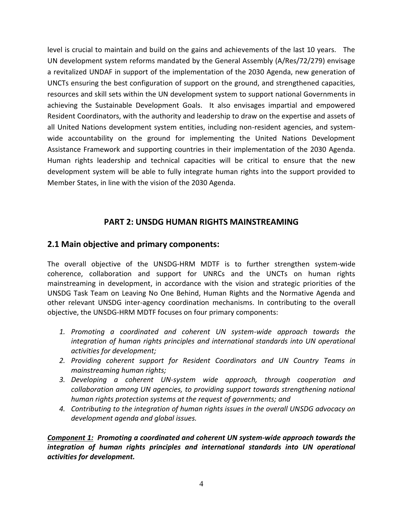level is crucial to maintain and build on the gains and achievements of the last 10 years. The UN development system reforms mandated by the General Assembly (A/Res/72/279) envisage a revitalized UNDAF in support of the implementation of the 2030 Agenda, new generation of UNCTs ensuring the best configuration of support on the ground, and strengthened capacities, resources and skill sets within the UN development system to support national Governments in achieving the Sustainable Development Goals. It also envisages impartial and empowered Resident Coordinators, with the authority and leadership to draw on the expertise and assets of all United Nations development system entities, including non-resident agencies, and systemwide accountability on the ground for implementing the United Nations Development Assistance Framework and supporting countries in their implementation of the 2030 Agenda. Human rights leadership and technical capacities will be critical to ensure that the new development system will be able to fully integrate human rights into the support provided to Member States, in line with the vision of the 2030 Agenda.

## **PART 2: UNSDG HUMAN RIGHTS MAINSTREAMING**

#### **2.1 Main objective and primary components:**

The overall objective of the UNSDG-HRM MDTF is to further strengthen system-wide coherence, collaboration and support for UNRCs and the UNCTs on human rights mainstreaming in development, in accordance with the vision and strategic priorities of the UNSDG Task Team on Leaving No One Behind, Human Rights and the Normative Agenda and other relevant UNSDG inter-agency coordination mechanisms. In contributing to the overall objective, the UNSDG-HRM MDTF focuses on four primary components:

- *1. Promoting a coordinated and coherent UN system-wide approach towards the integration of human rights principles and international standards into UN operational activities for development;*
- *2. Providing coherent support for Resident Coordinators and UN Country Teams in mainstreaming human rights;*
- *3. Developing a coherent UN-system wide approach, through cooperation and collaboration among UN agencies, to providing support towards strengthening national human rights protection systems at the request of governments; and*
- *4. Contributing to the integration of human rights issues in the overall UNSDG advocacy on development agenda and global issues.*

*Component 1: Promoting a coordinated and coherent UN system-wide approach towards the*  integration of human rights principles and international standards into UN operational *activities for development.*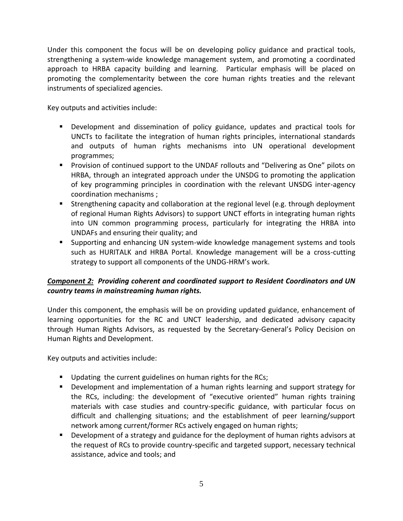Under this component the focus will be on developing policy guidance and practical tools, strengthening a system-wide knowledge management system, and promoting a coordinated approach to HRBA capacity building and learning. Particular emphasis will be placed on promoting the complementarity between the core human rights treaties and the relevant instruments of specialized agencies.

Key outputs and activities include:

- Development and dissemination of policy guidance, updates and practical tools for UNCTs to facilitate the integration of human rights principles, international standards and outputs of human rights mechanisms into UN operational development programmes;
- Provision of continued support to the UNDAF rollouts and "Delivering as One" pilots on HRBA, through an integrated approach under the UNSDG to promoting the application of key programming principles in coordination with the relevant UNSDG inter-agency coordination mechanisms ;
- Strengthening capacity and collaboration at the regional level (e.g. through deployment of regional Human Rights Advisors) to support UNCT efforts in integrating human rights into UN common programming process, particularly for integrating the HRBA into UNDAFs and ensuring their quality; and
- Supporting and enhancing UN system-wide knowledge management systems and tools such as HURITALK and HRBA Portal. Knowledge management will be a cross-cutting strategy to support all components of the UNDG-HRM's work.

## *Component 2: Providing coherent and coordinated support to Resident Coordinators and UN country teams in mainstreaming human rights.*

Under this component, the emphasis will be on providing updated guidance, enhancement of learning opportunities for the RC and UNCT leadership, and dedicated advisory capacity through Human Rights Advisors, as requested by the Secretary-General's Policy Decision on Human Rights and Development.

Key outputs and activities include:

- Updating the current guidelines on human rights for the RCs;
- Development and implementation of a human rights learning and support strategy for the RCs, including: the development of "executive oriented" human rights training materials with case studies and country-specific guidance, with particular focus on difficult and challenging situations; and the establishment of peer learning/support network among current/former RCs actively engaged on human rights;
- **•** Development of a strategy and guidance for the deployment of human rights advisors at the request of RCs to provide country-specific and targeted support, necessary technical assistance, advice and tools; and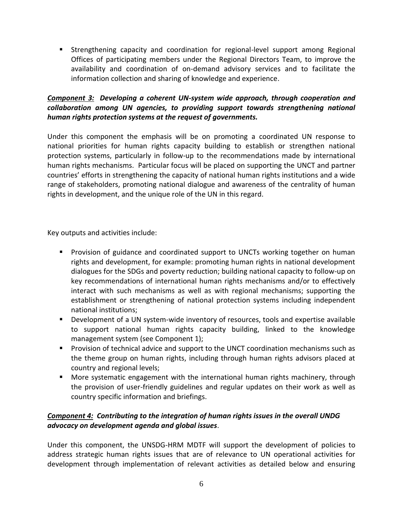▪ Strengthening capacity and coordination for regional-level support among Regional Offices of participating members under the Regional Directors Team, to improve the availability and coordination of on-demand advisory services and to facilitate the information collection and sharing of knowledge and experience.

#### *Component 3: Developing a coherent UN-system wide approach, through cooperation and collaboration among UN agencies, to providing support towards strengthening national human rights protection systems at the request of governments.*

Under this component the emphasis will be on promoting a coordinated UN response to national priorities for human rights capacity building to establish or strengthen national protection systems, particularly in follow-up to the recommendations made by international human rights mechanisms. Particular focus will be placed on supporting the UNCT and partner countries' efforts in strengthening the capacity of national human rights institutions and a wide range of stakeholders, promoting national dialogue and awareness of the centrality of human rights in development, and the unique role of the UN in this regard.

Key outputs and activities include:

- Provision of guidance and coordinated support to UNCTs working together on human rights and development, for example: promoting human rights in national development dialogues for the SDGs and poverty reduction; building national capacity to follow-up on key recommendations of international human rights mechanisms and/or to effectively interact with such mechanisms as well as with regional mechanisms; supporting the establishment or strengthening of national protection systems including independent national institutions;
- Development of a UN system-wide inventory of resources, tools and expertise available to support national human rights capacity building, linked to the knowledge management system (see Component 1);
- Provision of technical advice and support to the UNCT coordination mechanisms such as the theme group on human rights, including through human rights advisors placed at country and regional levels;
- More systematic engagement with the international human rights machinery, through the provision of user-friendly guidelines and regular updates on their work as well as country specific information and briefings.

#### *Component 4: Contributing to the integration of human rights issues in the overall UNDG advocacy on development agenda and global issues*.

Under this component, the UNSDG-HRM MDTF will support the development of policies to address strategic human rights issues that are of relevance to UN operational activities for development through implementation of relevant activities as detailed below and ensuring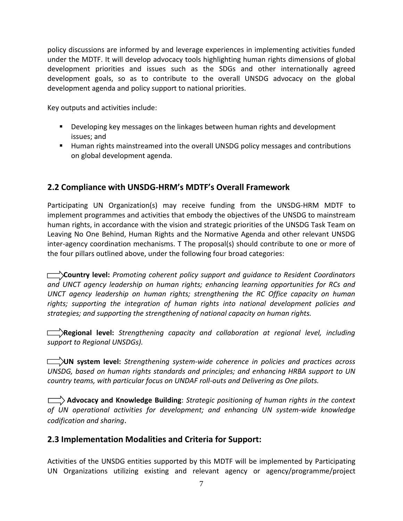policy discussions are informed by and leverage experiences in implementing activities funded under the MDTF. It will develop advocacy tools highlighting human rights dimensions of global development priorities and issues such as the SDGs and other internationally agreed development goals, so as to contribute to the overall UNSDG advocacy on the global development agenda and policy support to national priorities.

Key outputs and activities include:

- Developing key messages on the linkages between human rights and development issues; and
- Human rights mainstreamed into the overall UNSDG policy messages and contributions on global development agenda.

# **2.2 Compliance with UNSDG-HRM's MDTF's Overall Framework**

Participating UN Organization(s) may receive funding from the UNSDG-HRM MDTF to implement programmes and activities that embody the objectives of the UNSDG to mainstream human rights, in accordance with the vision and strategic priorities of the UNSDG Task Team on Leaving No One Behind, Human Rights and the Normative Agenda and other relevant UNSDG inter-agency coordination mechanisms. T The proposal(s) should contribute to one or more of the four pillars outlined above, under the following four broad categories:

 **Country level:** *Promoting coherent policy support and guidance to Resident Coordinators and UNCT agency leadership on human rights; enhancing learning opportunities for RCs and UNCT agency leadership on human rights; strengthening the RC Office capacity on human rights; supporting the integration of human rights into national development policies and strategies; and supporting the strengthening of national capacity on human rights.*

*EXALCONDER EXTERGIONAL LEVEL: Strengthening capacity and collaboration at regional level, including support to Regional UNSDGs).*

 **UN system level:** *Strengthening system-wide coherence in policies and practices across UNSDG, based on human rights standards and principles; and enhancing HRBA support to UN country teams, with particular focus on UNDAF roll-outs and Delivering as One pilots.*

 **Advocacy and Knowledge Building**: *Strategic positioning of human rights in the context of UN operational activities for development; and enhancing UN system-wide knowledge codification and sharing*.

# **2.3 Implementation Modalities and Criteria for Support:**

Activities of the UNSDG entities supported by this MDTF will be implemented by Participating UN Organizations utilizing existing and relevant agency or agency/programme/project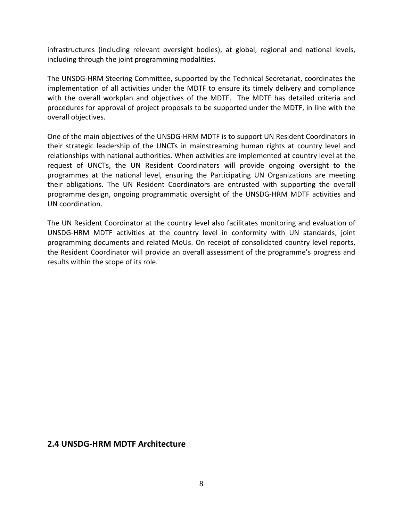infrastructures (including relevant oversight bodies), at global, regional and national levels, including through the joint programming modalities.

The UNSDG-HRM Steering Committee, supported by the Technical Secretariat, coordinates the implementation of all activities under the MDTF to ensure its timely delivery and compliance with the overall workplan and objectives of the MDTF. The MDTF has detailed criteria and procedures for approval of project proposals to be supported under the MDTF, in line with the overall objectives.

One of the main objectives of the UNSDG-HRM MDTF is to support UN Resident Coordinators in their strategic leadership of the UNCTs in mainstreaming human rights at country level and relationships with national authorities. When activities are implemented at country level at the request of UNCTs, the UN Resident Coordinators will provide ongoing oversight to the programmes at the national level, ensuring the Participating UN Organizations are meeting their obligations. The UN Resident Coordinators are entrusted with supporting the overall programme design, ongoing programmatic oversight of the UNSDG-HRM MDTF activities and UN coordination.

The UN Resident Coordinator at the country level also facilitates monitoring and evaluation of UNSDG-HRM MDTF activities at the country level in conformity with UN standards, joint programming documents and related MoUs. On receipt of consolidated country level reports, the Resident Coordinator will provide an overall assessment of the programme's progress and results within the scope of its role.

#### **2.4 UNSDG-HRM MDTF Architecture**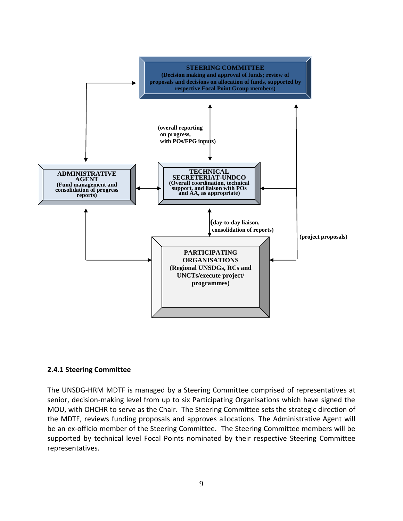

#### **2.4.1 Steering Committee**

The UNSDG-HRM MDTF is managed by a Steering Committee comprised of representatives at senior, decision-making level from up to six Participating Organisations which have signed the MOU, with OHCHR to serve as the Chair. The Steering Committee sets the strategic direction of the MDTF, reviews funding proposals and approves allocations. The Administrative Agent will be an ex-officio member of the Steering Committee. The Steering Committee members will be supported by technical level Focal Points nominated by their respective Steering Committee representatives.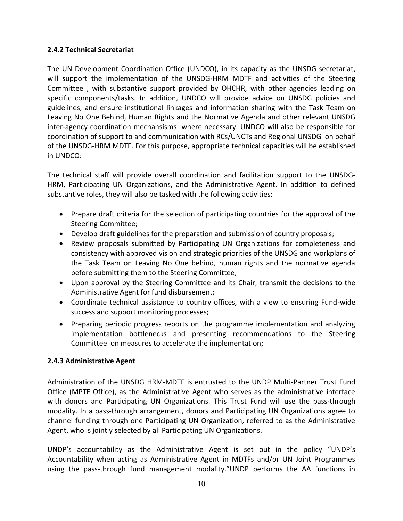#### **2.4.2 Technical Secretariat**

The UN Development Coordination Office (UNDCO), in its capacity as the UNSDG secretariat, will support the implementation of the UNSDG-HRM MDTF and activities of the Steering Committee , with substantive support provided by OHCHR, with other agencies leading on specific components/tasks. In addition, UNDCO will provide advice on UNSDG policies and guidelines, and ensure institutional linkages and information sharing with the Task Team on Leaving No One Behind, Human Rights and the Normative Agenda and other relevant UNSDG inter-agency coordination mechansisms where necessary. UNDCO will also be responsible for coordination of support to and communication with RCs/UNCTs and Regional UNSDG on behalf of the UNSDG-HRM MDTF. For this purpose, appropriate technical capacities will be established in UNDCO:

The technical staff will provide overall coordination and facilitation support to the UNSDG-HRM, Participating UN Organizations, and the Administrative Agent. In addition to defined substantive roles, they will also be tasked with the following activities:

- Prepare draft criteria for the selection of participating countries for the approval of the Steering Committee;
- Develop draft guidelines for the preparation and submission of country proposals;
- Review proposals submitted by Participating UN Organizations for completeness and consistency with approved vision and strategic priorities of the UNSDG and workplans of the Task Team on Leaving No One behind, human rights and the normative agenda before submitting them to the Steering Committee;
- Upon approval by the Steering Committee and its Chair, transmit the decisions to the Administrative Agent for fund disbursement;
- Coordinate technical assistance to country offices, with a view to ensuring Fund-wide success and support monitoring processes;
- Preparing periodic progress reports on the programme implementation and analyzing implementation bottlenecks and presenting recommendations to the Steering Committee on measures to accelerate the implementation;

## **2.4.3 Administrative Agent**

Administration of the UNSDG HRM-MDTF is entrusted to the UNDP Multi-Partner Trust Fund Office (MPTF Office), as the Administrative Agent who serves as the administrative interface with donors and Participating UN Organizations. This Trust Fund will use the pass-through modality. In a pass-through arrangement, donors and Participating UN Organizations agree to channel funding through one Participating UN Organization, referred to as the Administrative Agent, who is jointly selected by all Participating UN Organizations.

UNDP's accountability as the Administrative Agent is set out in the policy "UNDP's Accountability when acting as Administrative Agent in MDTFs and/or UN Joint Programmes using the pass-through fund management modality."UNDP performs the AA functions in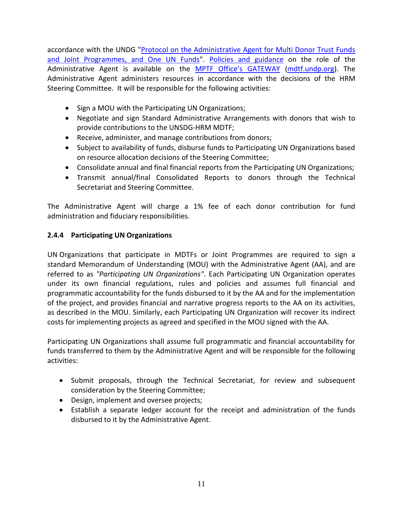accordance with the UNDG ["Protocol on the Administrative Agent for Multi Donor Trust Funds](http://www.undp.org/mdtf/docs/UNDG-Protocol.doc)  [and Joint Programmes, and One UN Funds"](http://www.undp.org/mdtf/docs/UNDG-Protocol.doc). [Policies and guidance](http://mdtf.undp.org/document/templates) on the role of the Administrative Agent is available on the MP[TF Office's GATEWAY](http://mdtf.undp.org/) [\(mdtf.undp.org\)](http://www.mdtf.undp.org/). The Administrative Agent administers resources in accordance with the decisions of the HRM Steering Committee. It will be responsible for the following activities:

- Sign a MOU with the Participating UN Organizations;
- Negotiate and sign Standard Administrative Arrangements with donors that wish to provide contributions to the UNSDG-HRM MDTF;
- Receive, administer, and manage contributions from donors;
- Subject to availability of funds, disburse funds to Participating UN Organizations based on resource allocation decisions of the Steering Committee;
- Consolidate annual and final financial reports from the Participating UN Organizations;
- Transmit annual/final Consolidated Reports to donors through the Technical Secretariat and Steering Committee.

The Administrative Agent will charge a 1% fee of each donor contribution for fund administration and fiduciary responsibilities.

## **2.4.4 Participating UN Organizations**

UN Organizations that participate in MDTFs or Joint Programmes are required to sign a standard Memorandum of Understanding (MOU) with the Administrative Agent (AA), and are referred to as *"Participating UN Organizations"*. Each Participating UN Organization operates under its own financial regulations, rules and policies and assumes full financial and programmatic accountability for the funds disbursed to it by the AA and for the implementation of the project, and provides financial and narrative progress reports to the AA on its activities, as described in the MOU. Similarly, each Participating UN Organization will recover its indirect costs for implementing projects as agreed and specified in the MOU signed with the AA.

Participating UN Organizations shall assume full programmatic and financial accountability for funds transferred to them by the Administrative Agent and will be responsible for the following activities:

- Submit proposals, through the Technical Secretariat, for review and subsequent consideration by the Steering Committee;
- Design, implement and oversee projects;
- Establish a separate ledger account for the receipt and administration of the funds disbursed to it by the Administrative Agent.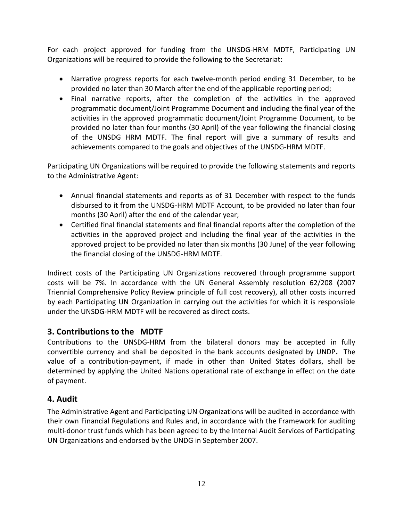For each project approved for funding from the UNSDG-HRM MDTF, Participating UN Organizations will be required to provide the following to the Secretariat:

- Narrative progress reports for each twelve-month period ending 31 December, to be provided no later than 30 March after the end of the applicable reporting period;
- Final narrative reports, after the completion of the activities in the approved programmatic document/Joint Programme Document and including the final year of the activities in the approved programmatic document/Joint Programme Document, to be provided no later than four months (30 April) of the year following the financial closing of the UNSDG HRM MDTF. The final report will give a summary of results and achievements compared to the goals and objectives of the UNSDG-HRM MDTF.

Participating UN Organizations will be required to provide the following statements and reports to the Administrative Agent:

- Annual financial statements and reports as of 31 December with respect to the funds disbursed to it from the UNSDG-HRM MDTF Account, to be provided no later than four months (30 April) after the end of the calendar year;
- Certified final financial statements and final financial reports after the completion of the activities in the approved project and including the final year of the activities in the approved project to be provided no later than six months (30 June) of the year following the financial closing of the UNSDG-HRM MDTF.

Indirect costs of the Participating UN Organizations recovered through programme support costs will be 7%. In accordance with the UN General Assembly resolution 62/208 **(**2007 Triennial Comprehensive Policy Review principle of full cost recovery), all other costs incurred by each Participating UN Organization in carrying out the activities for which it is responsible under the UNSDG-HRM MDTF will be recovered as direct costs.

## **3. Contributions to the MDTF**

Contributions to the UNSDG-HRM from the bilateral donors may be accepted in fully convertible currency and shall be deposited in the bank accounts designated by UNDP**.** The value of a contribution-payment, if made in other than United States dollars, shall be determined by applying the United Nations operational rate of exchange in effect on the date of payment.

## **4. Audit**

The Administrative Agent and Participating UN Organizations will be audited in accordance with their own Financial Regulations and Rules and, in accordance with the Framework for auditing multi-donor trust funds which has been agreed to by the Internal Audit Services of Participating UN Organizations and endorsed by the UNDG in September 2007.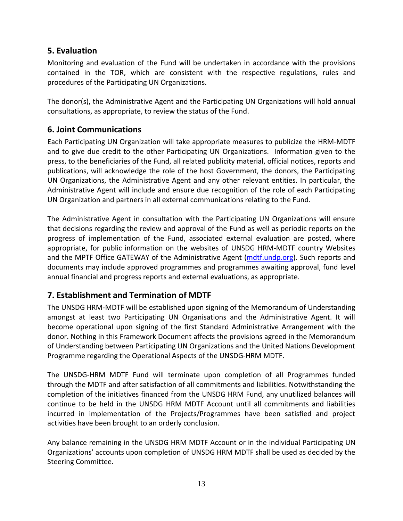# **5. Evaluation**

Monitoring and evaluation of the Fund will be undertaken in accordance with the provisions contained in the TOR, which are consistent with the respective regulations, rules and procedures of the Participating UN Organizations.

The donor(s), the Administrative Agent and the Participating UN Organizations will hold annual consultations, as appropriate, to review the status of the Fund.

# **6. Joint Communications**

Each Participating UN Organization will take appropriate measures to publicize the HRM-MDTF and to give due credit to the other Participating UN Organizations. Information given to the press, to the beneficiaries of the Fund, all related publicity material, official notices, reports and publications, will acknowledge the role of the host Government, the donors, the Participating UN Organizations, the Administrative Agent and any other relevant entities. In particular, the Administrative Agent will include and ensure due recognition of the role of each Participating UN Organization and partners in all external communications relating to the Fund.

The Administrative Agent in consultation with the Participating UN Organizations will ensure that decisions regarding the review and approval of the Fund as well as periodic reports on the progress of implementation of the Fund, associated external evaluation are posted, where appropriate, for public information on the websites of UNSDG HRM-MDTF country Websites and the MPTF Office GATEWAY of the Administrative Agent [\(mdtf.undp.org\)](http://mdtf.undp.org/). Such reports and documents may include approved programmes and programmes awaiting approval, fund level annual financial and progress reports and external evaluations, as appropriate.

# **7. Establishment and Termination of MDTF**

The UNSDG HRM-MDTF will be established upon signing of the Memorandum of Understanding amongst at least two Participating UN Organisations and the Administrative Agent. It will become operational upon signing of the first Standard Administrative Arrangement with the donor. Nothing in this Framework Document affects the provisions agreed in the Memorandum of Understanding between Participating UN Organizations and the United Nations Development Programme regarding the Operational Aspects of the UNSDG-HRM MDTF.

The UNSDG-HRM MDTF Fund will terminate upon completion of all Programmes funded through the MDTF and after satisfaction of all commitments and liabilities. Notwithstanding the completion of the initiatives financed from the UNSDG HRM Fund, any unutilized balances will continue to be held in the UNSDG HRM MDTF Account until all commitments and liabilities incurred in implementation of the Projects/Programmes have been satisfied and project activities have been brought to an orderly conclusion.

Any balance remaining in the UNSDG HRM MDTF Account or in the individual Participating UN Organizations' accounts upon completion of UNSDG HRM MDTF shall be used as decided by the Steering Committee.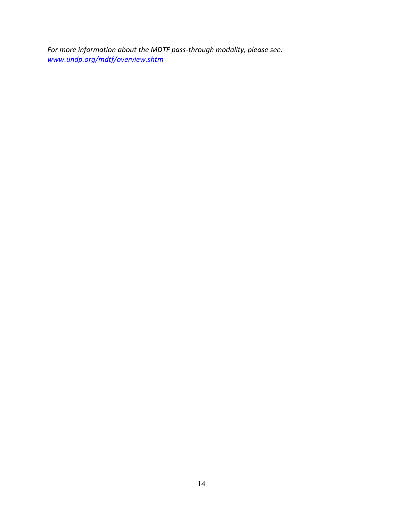*For more information about the MDTF pass-through modality, please see: [www.undp.org/mdtf/overview.shtm](http://www.undp.org/mdtf/overview.shtm)*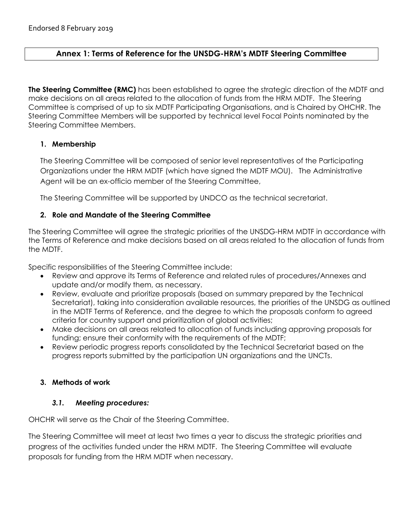## **Annex 1: Terms of Reference for the UNSDG-HRM's MDTF Steering Committee**

**The Steering Committee (RMC)** has been established to agree the strategic direction of the MDTF and make decisions on all areas related to the allocation of funds from the HRM MDTF. The Steering Committee is comprised of up to six MDTF Participating Organisations, and is Chaired by OHCHR. The Steering Committee Members will be supported by technical level Focal Points nominated by the Steering Committee Members.

#### **1. Membership**

The Steering Committee will be composed of senior level representatives of the Participating Organizations under the HRM MDTF (which have signed the MDTF MOU). The Administrative Agent will be an ex-officio member of the Steering Committee,

The Steering Committee will be supported by UNDCO as the technical secretariat.

#### **2. Role and Mandate of the Steering Committee**

The Steering Committee will agree the strategic priorities of the UNSDG-HRM MDTF in accordance with the Terms of Reference and make decisions based on all areas related to the allocation of funds from the MDTF.

Specific responsibilities of the Steering Committee include:

- Review and approve its Terms of Reference and related rules of procedures/Annexes and update and/or modify them, as necessary.
- Review, evaluate and prioritize proposals (based on summary prepared by the Technical Secretariat), taking into consideration available resources, the priorities of the UNSDG as outlined in the MDTF Terms of Reference, and the degree to which the proposals conform to agreed criteria for country support and prioritization of global activities;
- Make decisions on all areas related to allocation of funds including approving proposals for funding; ensure their conformity with the requirements of the MDTF;
- Review periodic progress reports consolidated by the Technical Secretariat based on the progress reports submitted by the participation UN organizations and the UNCTs.

#### **3. Methods of work**

#### *3.1. Meeting procedures:*

OHCHR will serve as the Chair of the Steering Committee.

The Steering Committee will meet at least two times a year to discuss the strategic priorities and progress of the activities funded under the HRM MDTF. The Steering Committee will evaluate proposals for funding from the HRM MDTF when necessary.